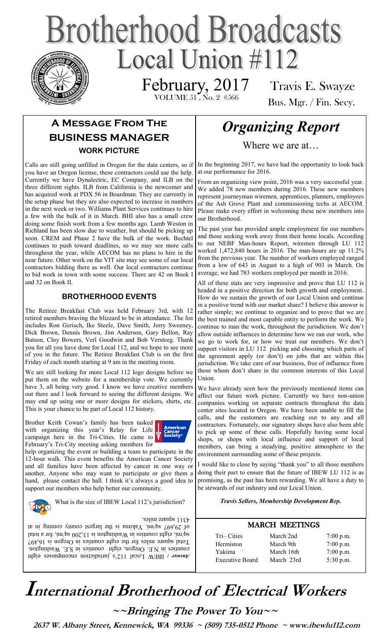# **Brotherhood Broadcasts** Local Union  $\#112$

 VOLUME 51 , No. 2 #566 February, 2017

Travis E. Swayze Bus. Mgr. / Fin. Secy.

## **A Message From The BUSINESS MANAGER WORK PICTURE**

Calls are still going unfilled in Oregon for the data centers, so if you have an Oregon license, these contractors could use the help. Currently we have Dynalectric, EC Company, and ILB on the three different sights. ILB from California is the newcomer and has acquired work at PDX 56 in Boardman. They are currently in the setup phase but they are also expected to increase in numbers in the next week or two. Williams Plant Services continues to hire a few with the bulk of it in March. BHI also has a small crew doing some finish work from a few months ago. Lamb Weston in Richland has been slow due to weather, but should be picking up soon. CREM and Phase 2 have the bulk of the work. Bechtel continues to push toward deadlines, so we may see more calls throughout the year, while AECOM has no plans to hire in the near future. Other work on the VIT site may see some of our local contractors bidding there as well. Our local contractors continue to bid work in town with some success. There are 42 on Book I and 32 on Book II.

#### **BROTHERHOOD EVENTS**

The Retiree Breakfast Club was held February 3rd, with 12 retired members braving the blizzard to be in attendance. The list includes Ron Gerisch, Ike Steele, Dave Smith, Jerry Sweeney, Dick Brown, Dennis Brown, Jim Anderson, Gary Bellon, Ray Batson, Cloy Bowers, Verl Goodwin and Bob Versteeg. Thank you for all you have done for Local 112, and we hope to see more of you in the future. The Retiree Breakfast Club is on the first Friday of each month starting at 9 am in the meeting room.

We are still looking for more Local 112 logo designs before we put them on the website for a membership vote. We currently have 3, all being very good. I know we have creative members out there and l look forward to seeing the different designs. We may end up using one or more designs for stickers, shirts, etc. This is your chance to be part of Local 112 history.

Brother Keith Cowan's family has been tasked with organizing this year's Relay for Life campaign here in the Tri-Cities. He came to February's Tri-City meeting asking members for



help organizing the event or building a team to participate in the 12-hour walk. This event benefits the American Cancer Society and all families have been affected by cancer in one way or another. Anyone who may want to participate or give them a hand, please contact the hall. I think it's always a good idea to support our members who help better our community.



What is the size of IBEW Local 112's jurisdiction?

4311 square miles.

IBEW Local 112's jurisdiction encompasses eight *Answer :*  counties in N.E. Oregon, eight counties in S.E. Washington. Total square miles for the eight counties in Oregon is 16,497 sq/mi, eight counties in Washington is 13,200 sq/mi, for a total of 29,697 sq/mi. Yakima is the largest county at the attack of the state in at

# *Organizing Report*

Where we are at…

In the beginning 2017, we have had the opportunity to look back at our performance for 2016.

From an organizing view point, 2016 was a very successful year. We added 78 new members during 2016. These new members represent journeyman wiremen, apprentices, planners, employees of the Ash Grove Plant and commissioning techs at AECOM. Please make every effort in welcoming these new members into our Brotherhood.

The past year has provided ample employment for our members and those seeking work away from their home locals. According to our NEBF Man-hours Report, wiremen through LU 112 worked 1,472,840 hours in 2016. The man-hours are up 11.2% from the previous year. The number of workers employed ranged from a low of 643 in August to a high of 903 in March. On average, we had 783 workers employed per month in 2016.

All of these stats are very impressive and prove that LU 112 is headed in a positive direction for both growth and employment. How do we sustain the growth of our Local Union and continue in a positive trend with our market share? I believe this answer is rather simple; we continue to organize and to prove that we are the best trained and most capable entity to perform the work. We continue to man the work, throughout the jurisdiction. We don't allow outside influences to determine how we run our work, who we go to work for, or how we treat our members. We don't support visitors in LU 112 picking and choosing which parts of the agreement apply (or don't) on jobs that are within this jurisdiction. We take care of our business, free of influence from those whom don't share in the common interests of this Local Union.

We have already seen how the previously mentioned items can affect our future work picture. Currently we have non-union companies working on separate contracts throughout the data center sites located in Oregon. We have been unable to fill the calls, and the customers are reaching out to any and all contractors. Fortunately, our signatory shops have also been able to pick up some of these calls. Hopefully having some local shops, or shops with local influence and support of local members, can bring a steadying, positive atmosphere to the environment surrounding some of these projects.

I would like to close by saying "thank you" to all those members doing their part to ensure that the future of IBEW LU 112 is as promising, as the past has been rewarding. We all have a duty to be stewards of our industry and our Local Union.

#### *Travis Sellers, Membership Development Rep.*

#### MARCH MEETINGS

| Tri-Cities             | March 2nd  | $7:00$ p.m. |
|------------------------|------------|-------------|
| Hermiston              | March 9th  | $7:00$ p.m. |
| Yakima                 | March 16th | $7:00$ p.m. |
| <b>Executive Board</b> | March 23rd | $5:30$ p.m. |
|                        |            |             |

# **International Brotherhood of <sup>E</sup>lectrical Workers**

**~~Bringing The Power To You~~** 

 **2637 W. Albany Street, Kennewick, WA 99336 ~ (509) 735-0512 Phone ~ www.ibewlu112.com**